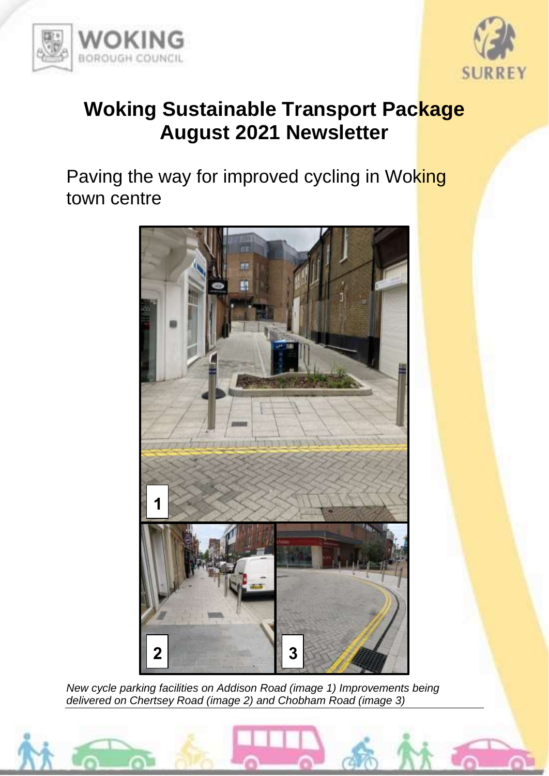



## **Woking Sustainable Transport Package August 2021 Newsletter**

Paving the way for improved cycling in Woking town centre



*New cycle parking facilities on Addison Road (image 1) Improvements being delivered on Chertsey Road (image 2) and Chobham Road (image 3)*